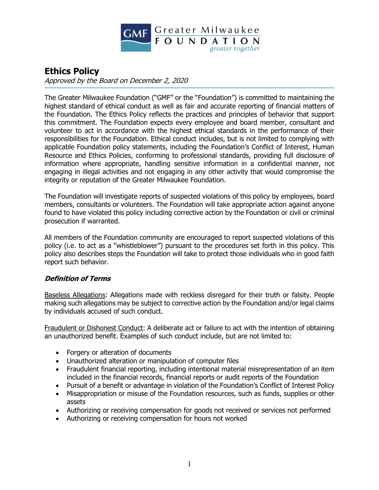

# **Ethics Policy**

Approved by the Board on December 2, 2020

The Greater Milwaukee Foundation ("GMF" or the "Foundation") is committed to maintaining the highest standard of ethical conduct as well as fair and accurate reporting of financial matters of the Foundation. The Ethics Policy reflects the practices and principles of behavior that support this commitment. The Foundation expects every employee and board member, consultant and volunteer to act in accordance with the highest ethical standards in the performance of their responsibilities for the Foundation. Ethical conduct includes, but is not limited to complying with applicable Foundation policy statements, including the Foundation's Conflict of Interest, Human Resource and Ethics Policies, conforming to professional standards, providing full disclosure of information where appropriate, handling sensitive information in a confidential manner, not engaging in illegal activities and not engaging in any other activity that would compromise the integrity or reputation of the Greater Milwaukee Foundation.

The Foundation will investigate reports of suspected violations of this policy by employees, board members, consultants or volunteers. The Foundation will take appropriate action against anyone found to have violated this policy including corrective action by the Foundation or civil or criminal prosecution if warranted.

All members of the Foundation community are encouraged to report suspected violations of this policy (i.e. to act as a "whistleblower") pursuant to the procedures set forth in this policy. This policy also describes steps the Foundation will take to protect those individuals who in good faith report such behavior.

#### **Definition of Terms**

Baseless Allegations: Allegations made with reckless disregard for their truth or falsity. People making such allegations may be subject to corrective action by the Foundation and/or legal claims by individuals accused of such conduct.

Fraudulent or Dishonest Conduct: A deliberate act or failure to act with the intention of obtaining an unauthorized benefit. Examples of such conduct include, but are not limited to:

- Forgery or alteration of documents
- Unauthorized alteration or manipulation of computer files
- Fraudulent financial reporting, including intentional material misrepresentation of an item included in the financial records, financial reports or audit reports of the Foundation
- Pursuit of a benefit or advantage in violation of the Foundation's Conflict of Interest Policy
- Misappropriation or misuse of the Foundation resources, such as funds, supplies or other assets
- Authorizing or receiving compensation for goods not received or services not performed
- Authorizing or receiving compensation for hours not worked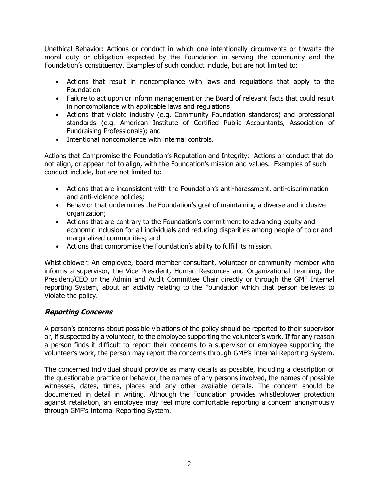Unethical Behavior: Actions or conduct in which one intentionally circumvents or thwarts the moral duty or obligation expected by the Foundation in serving the community and the Foundation's constituency. Examples of such conduct include, but are not limited to:

- Actions that result in noncompliance with laws and regulations that apply to the Foundation
- Failure to act upon or inform management or the Board of relevant facts that could result in noncompliance with applicable laws and regulations
- Actions that violate industry (e.g. Community Foundation standards) and professional standards (e.g. American Institute of Certified Public Accountants, Association of Fundraising Professionals); and
- Intentional noncompliance with internal controls.

Actions that Compromise the Foundation's Reputation and Integrity: Actions or conduct that do not align, or appear not to align, with the Foundation's mission and values. Examples of such conduct include, but are not limited to:

- Actions that are inconsistent with the Foundation's anti-harassment, anti-discrimination and anti-violence policies;
- Behavior that undermines the Foundation's goal of maintaining a diverse and inclusive organization;
- Actions that are contrary to the Foundation's commitment to advancing equity and economic inclusion for all individuals and reducing disparities among people of color and marginalized communities; and
- Actions that compromise the Foundation's ability to fulfill its mission.

Whistleblower: An employee, board member consultant, volunteer or community member who informs a supervisor, the Vice President, Human Resources and Organizational Learning, the President/CEO or the Admin and Audit Committee Chair directly or through the GMF Internal reporting System, about an activity relating to the Foundation which that person believes to Violate the policy.

## **Reporting Concerns**

A person's concerns about possible violations of the policy should be reported to their supervisor or, if suspected by a volunteer, to the employee supporting the volunteer's work. If for any reason a person finds it difficult to report their concerns to a supervisor or employee supporting the volunteer's work, the person may report the concerns through GMF's Internal Reporting System.

The concerned individual should provide as many details as possible, including a description of the questionable practice or behavior, the names of any persons involved, the names of possible witnesses, dates, times, places and any other available details. The concern should be documented in detail in writing. Although the Foundation provides whistleblower protection against retaliation, an employee may feel more comfortable reporting a concern anonymously through GMF's Internal Reporting System.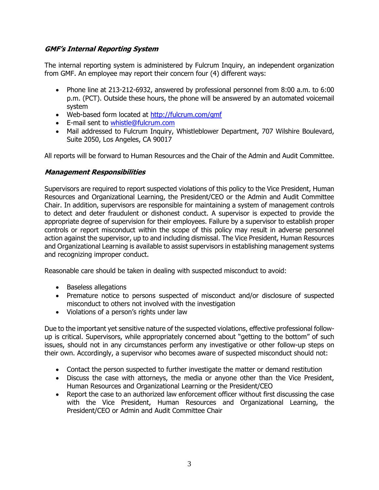### **GMF's Internal Reporting System**

The internal reporting system is administered by Fulcrum Inquiry, an independent organization from GMF. An employee may report their concern four (4) different ways:

- Phone line at 213-212-6932, answered by professional personnel from 8:00 a.m. to 6:00 p.m. (PCT). Outside these hours, the phone will be answered by an automated voicemail system
- Web-based form located at [http://fulcrum.com/gmf](http://fulcrum.com/gmf/)
- E-mail sent to [whistle@fulcrum.com](mailto:whistle@fulcrum.com)
- Mail addressed to Fulcrum Inquiry, Whistleblower Department, 707 Wilshire Boulevard, Suite 2050, Los Angeles, CA 90017

All reports will be forward to Human Resources and the Chair of the Admin and Audit Committee.

#### **Management Responsibilities**

Supervisors are required to report suspected violations of this policy to the Vice President, Human Resources and Organizational Learning, the President/CEO or the Admin and Audit Committee Chair. In addition, supervisors are responsible for maintaining a system of management controls to detect and deter fraudulent or dishonest conduct. A supervisor is expected to provide the appropriate degree of supervision for their employees. Failure by a supervisor to establish proper controls or report misconduct within the scope of this policy may result in adverse personnel action against the supervisor, up to and including dismissal. The Vice President, Human Resources and Organizational Learning is available to assist supervisors in establishing management systems and recognizing improper conduct.

Reasonable care should be taken in dealing with suspected misconduct to avoid:

- Baseless allegations
- Premature notice to persons suspected of misconduct and/or disclosure of suspected misconduct to others not involved with the investigation
- Violations of a person's rights under law

Due to the important yet sensitive nature of the suspected violations, effective professional followup is critical. Supervisors, while appropriately concerned about "getting to the bottom" of such issues, should not in any circumstances perform any investigative or other follow-up steps on their own. Accordingly, a supervisor who becomes aware of suspected misconduct should not:

- Contact the person suspected to further investigate the matter or demand restitution
- Discuss the case with attorneys, the media or anyone other than the Vice President, Human Resources and Organizational Learning or the President/CEO
- Report the case to an authorized law enforcement officer without first discussing the case with the Vice President, Human Resources and Organizational Learning, the President/CEO or Admin and Audit Committee Chair